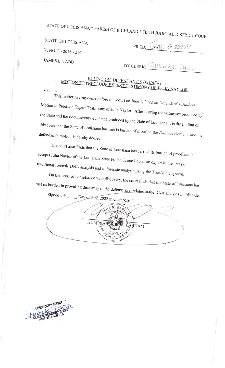STATE OF LOUISIANA \* PARISH OF RICHLAND \* FIFTH JUDICIAL DISTRICT COURT

STATE OF LOUISIANA

| FILED: $M\mathcal{U}$ |  |  |  |  |
|-----------------------|--|--|--|--|
|-----------------------|--|--|--|--|

V. NO. F - 2018 - 216

**JAMES L. TABB** 

 $\cdot$ 

 $1\epsilon + \frac{1}{4}$ 

<u>esplic</u>

DY CLERK: Mureka Davis

## RULING ON DEFENDANT'S DAUBERT MOTION TO PRECLUDE EXPERT TESTIMONY OF JULIA NAYLOR

This matter having come before this court on June 1, 2022 on Defendant's Daubert Motion to Preclude Expert Testimony of Julia Naylor. After hearing the witnesses produced by the State and the documentary evidence produced by the State of Louisiana it is the finding of this court that the State of Louisiana has met is burden of proof on the Daubert elements and the defendant's motion is hereby denied.

The court also finds that the State of Louisiana has carried its burden of proof and it accepts Julia Naylor of the Louisiana State Police Crime Lab as an expert in the areas of traditional forensic DNA analysis and in forensic analysis using the TrueAllele system.

On the issue of compliance with discovery, the court finds that the State of Louisiana has met its burden in providing discovery to the defense as it relates to the DNA analysis in this case.

Signed this Day of June 2022 in chambers **INTILLIATITY** WILL R  $BAA$ HONORAB BARHAM UDICIAL DIS """CIAL VI